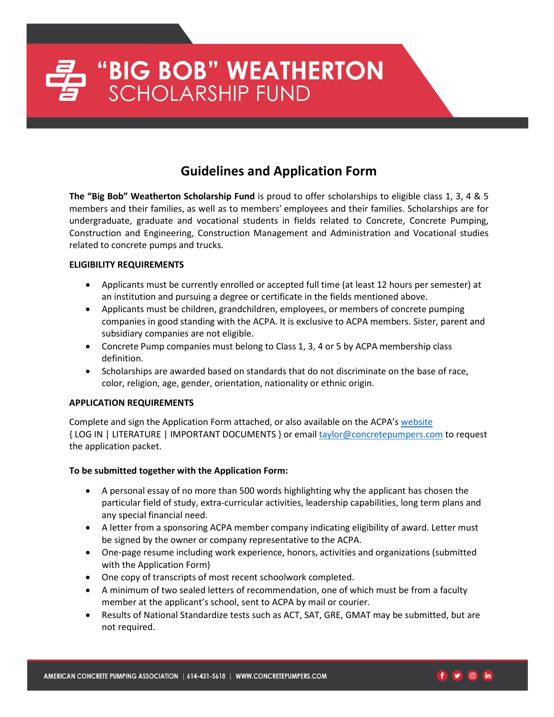## **Guidelines and Application Form**

**The "Big Bob" Weatherton Scholarship Fund** is proud to offer scholarships to eligible class 1, 3, 4 & 5 members and their families, as well as to members' employees and their families. Scholarships are for undergraduate, graduate and vocational students in fields related to Concrete, Concrete Pumping, Construction and Engineering, Construction Management and Administration and Vocational studies related to concrete pumps and trucks.

#### **ELIGIBILITY REQUIREMENTS**

- Applicants must be currently enrolled or accepted full time (at least 12 hours per semester) at an institution and pursuing a degree or certificate in the fields mentioned above.
- Applicants must be children, grandchildren, employees, or members of concrete pumping companies in good standing with the ACPA. It is exclusive to ACPA members. Sister, parent and subsidiary companies are not eligible.
- Concrete Pump companies must belong to Class 1, 3, 4 or 5 by ACPA membership class definition.
- Scholarships are awarded based on standards that do not discriminate on the base of race, color, religion, age, gender, orientation, nationality or ethnic origin.

#### **APPLICATION REQUIREMENTS**

Complete and sign the Application Form attached, or also available on the ACPA's [website](http://www.concretepumpers.com/)  { LOG IN | LITERATURE | IMPORTANT DOCUMENTS } or emai[l taylor@concretepumpers.com](mailto:taylor@concretepumpers.com) to request the application packet.

#### **To be submitted together with the Application Form:**

- A personal essay of no more than 500 words highlighting why the applicant has chosen the particular field of study, extra-curricular activities, leadership capabilities, long term plans and any special financial need.
- A letter from a sponsoring ACPA member company indicating eligibility of award. Letter must be signed by the owner or company representative to the ACPA.
- One-page resume including work experience, honors, activities and organizations (submitted with the Application Form)
- One copy of transcripts of most recent schoolwork completed.
- A minimum of two sealed letters of recommendation, one of which must be from a faculty member at the applicant's school, sent to ACPA by mail or courier.
- Results of National Standardize tests such as ACT, SAT, GRE, GMAT may be submitted, but are not required.

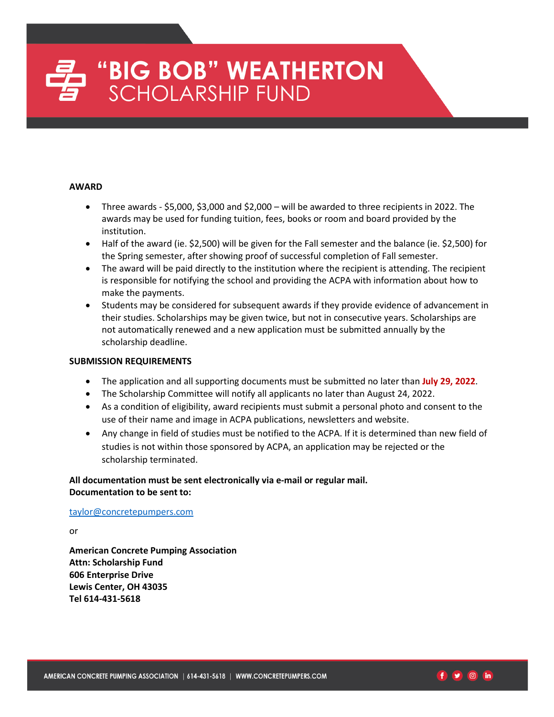# "BIG BOB" WEATHERTON<br>SCHOLARSHIP FUND

#### **AWARD**

- Three awards \$5,000, \$3,000 and \$2,000 will be awarded to three recipients in 2022. The awards may be used for funding tuition, fees, books or room and board provided by the institution.
- Half of the award (ie. \$2,500) will be given for the Fall semester and the balance (ie. \$2,500) for the Spring semester, after showing proof of successful completion of Fall semester.
- The award will be paid directly to the institution where the recipient is attending. The recipient is responsible for notifying the school and providing the ACPA with information about how to make the payments.
- Students may be considered for subsequent awards if they provide evidence of advancement in their studies. Scholarships may be given twice, but not in consecutive years. Scholarships are not automatically renewed and a new application must be submitted annually by the scholarship deadline.

#### **SUBMISSION REQUIREMENTS**

- The application and all supporting documents must be submitted no later than **July 29, 2022**.
- The Scholarship Committee will notify all applicants no later than August 24, 2022.
- As a condition of eligibility, award recipients must submit a personal photo and consent to the use of their name and image in ACPA publications, newsletters and website.
- Any change in field of studies must be notified to the ACPA. If it is determined than new field of studies is not within those sponsored by ACPA, an application may be rejected or the scholarship terminated.

**All documentation must be sent electronically via e-mail or regular mail. Documentation to be sent to:**

#### [taylor@concretepumpers.com](mailto:taylor@concretepumpers.com)

or

**American Concrete Pumping Association Attn: Scholarship Fund 606 Enterprise Drive Lewis Center, OH 43035 Tel 614-431-5618**